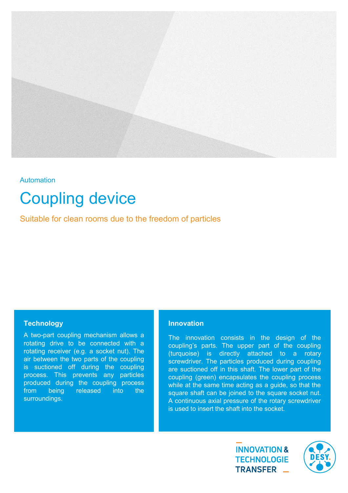

# **Automation**

# Coupling device

Suitable for clean rooms due to the freedom of particles

# **Technology**

A two-part coupling mechanism allows a rotating drive to be connected with a rotating receiver (e.g. a socket nut). The air between the two parts of the coupling is suctioned off during the coupling process. This prevents any particles produced during the coupling process from being released into the surroundings.

## **Innovation**

The innovation consists in the design of the coupling's parts. The upper part of the coupling (turquoise) is directly attached to a rotary screwdriver. The particles produced during coupling are suctioned off in this shaft. The lower part of the coupling (green) encapsulates the coupling process while at the same time acting as a guide, so that the square shaft can be joined to the square socket nut. A continuous axial pressure of the rotary screwdriver is used to insert the shaft into the socket.

> **INNOVATION & TECHNOLOGIE** TRANSFER \_

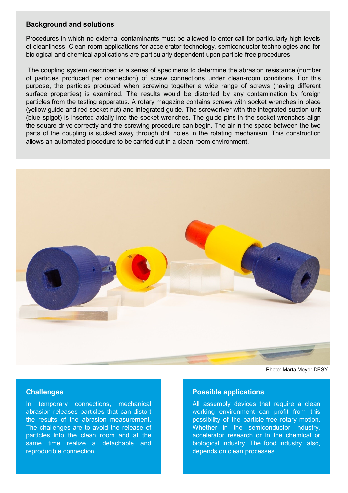#### **Background and solutions**

Procedures in which no external contaminants must be allowed to enter call for particularly high levels of cleanliness. Clean-room applications for accelerator technology, semiconductor technologies and for biological and chemical applications are particularly dependent upon particle-free procedures.

The coupling system described is a series of specimens to determine the abrasion resistance (number of particles produced per connection) of screw connections under clean-room conditions. For this purpose, the particles produced when screwing together a wide range of screws (having different surface properties) is examined. The results would be distorted by any contamination by foreign particles from the testing apparatus. A rotary magazine contains screws with socket wrenches in place (yellow guide and red socket nut) and integrated guide. The screwdriver with the integrated suction unit (blue spigot) is inserted axially into the socket wrenches. The guide pins in the socket wrenches align the square drive correctly and the screwing procedure can begin. The air in the space between the two parts of the coupling is sucked away through drill holes in the rotating mechanism. This construction allows an automated procedure to be carried out in a clean-room environment.



Photo: Marta Meyer DESY

# **Challenges**

In temporary connections, mechanical abrasion releases particles that can distort the results of the abrasion measurement. The challenges are to avoid the release of particles into the clean room and at the same time realize a detachable and reproducible connection.

#### **Possible applications**

All assembly devices that require a clean working environment can profit from this possibility of the particle-free rotary motion. Whether in the semiconductor industry, accelerator research or in the chemical or biological industry. The food industry, also, depends on clean processes. .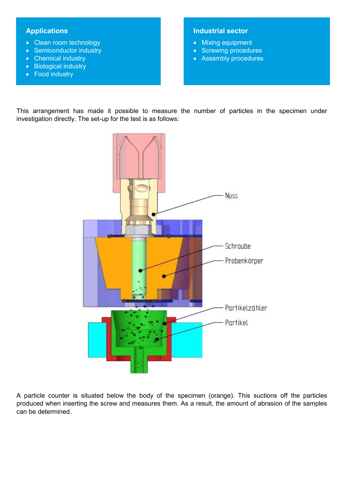# **Applications**

- Clean room technology
- Semiconductor industry
- Chemical industry
- Biological industry
- Food industry

# **Industrial sector**

- Mixing equipment
- Screwing procedures
- Assembly procedures

This arrangement has made it possible to measure the number of particles in the specimen under investigation directly. The set-up for the test is as follows:



A particle counter is situated below the body of the specimen (orange). This suctions off the particles produced when inserting the screw and measures them. As a result, the amount of abrasion of the samples can be determined.